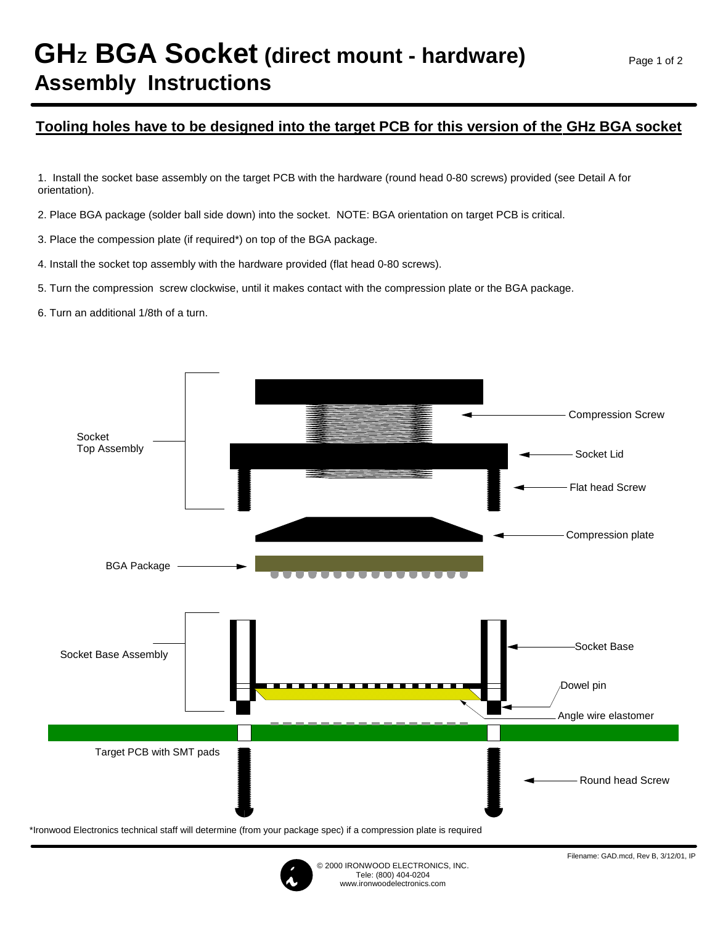# **GHz BGA Socket (direct mount - hardware) Assembly Instructions**

### **Tooling holes have to be designed into the target PCB for this version of the GHz BGA socket**

1. Install the socket base assembly on the target PCB with the hardware (round head 0-80 screws) provided (see Detail A for orientation).

2. Place BGA package (solder ball side down) into the socket. NOTE: BGA orientation on target PCB is critical.

- 3. Place the compession plate (if required\*) on top of the BGA package.
- 4. Install the socket top assembly with the hardware provided (flat head 0-80 screws).
- 5. Turn the compression screw clockwise, until it makes contact with the compression plate or the BGA package.
- 6. Turn an additional 1/8th of a turn.



\*Ironwood Electronics technical staff will determine (from your package spec) if a compression plate is required